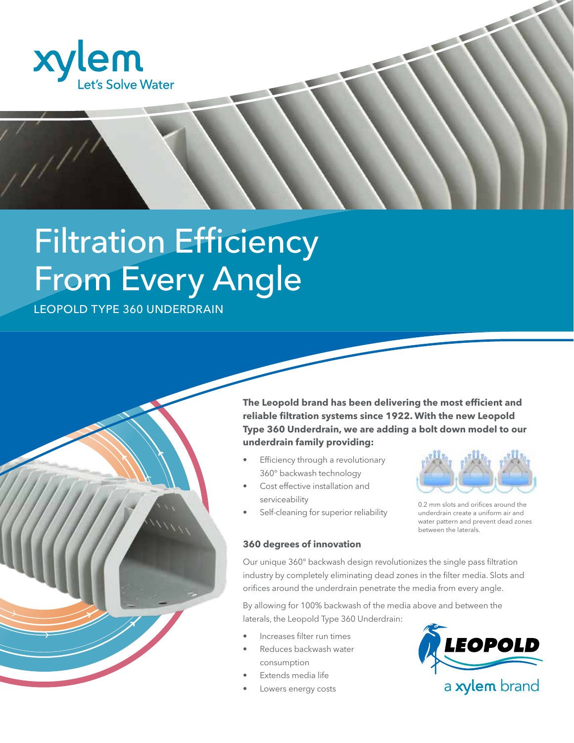

# **Filtration Efficiency** From Every Angle

LEOPOLD TYPE 360 UNDERDRAIN



- Efficiency through a revolutionary 360° backwash technology
- Cost effective installation and serviceability
- Self-cleaning for superior reliability



0.2 mm slots and orifices around the underdrain create a uniform air and water pattern and prevent dead zones between the laterals.

### **360 degrees of innovation**

Our unique 360° backwash design revolutionizes the single pass filtration industry by completely eliminating dead zones in the filter media. Slots and orifices around the underdrain penetrate the media from every angle.

By allowing for 100% backwash of the media above and between the laterals, the Leopold Type 360 Underdrain:

- Increases filter run times
- Reduces backwash water consumption
- Extends media life
- Lowers energy costs